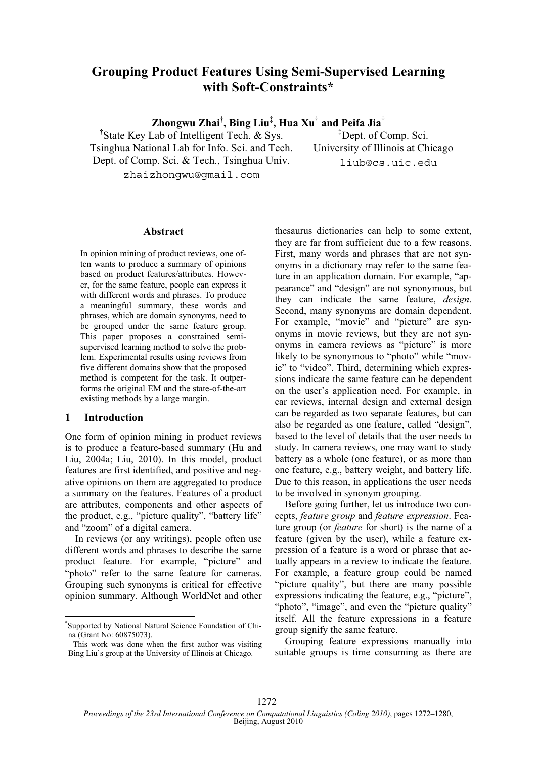# **Grouping Product Features Using Semi-Supervised Learning with Soft-Constraints\***

**Zhongwu Zhai**† **, Bing Liu**‡ **, Hua Xu**†  **and Peifa Jia**†

† State Key Lab of Intelligent Tech. & Sys. Tsinghua National Lab for Info. Sci. and Tech.

Dept. of Comp. Sci. & Tech., Tsinghua Univ.

‡ Dept. of Comp. Sci. University of Illinois at Chicago liub@cs.uic.edu

zhaizhongwu@gmail.com

#### **Abstract**

In opinion mining of product reviews, one often wants to produce a summary of opinions based on product features/attributes. However, for the same feature, people can express it with different words and phrases. To produce a meaningful summary, these words and phrases, which are domain synonyms, need to be grouped under the same feature group. This paper proposes a constrained semisupervised learning method to solve the problem. Experimental results using reviews from five different domains show that the proposed method is competent for the task. It outperforms the original EM and the state-of-the-art existing methods by a large margin.

# 1 Introduction

One form of opinion mining in product reviews is to produce a feature-based summary (Hu and Liu, 2004a; Liu, 2010). In this model, product features are first identified, and positive and negative opinions on them are aggregated to produce a summary on the features. Features of a product are attributes, components and other aspects of the product, e.g., "picture quality", "battery life" and "zoom" of a digital camera.

In reviews (or any writings), people often use different words and phrases to describe the same product feature. For example, "picture" and "photo" refer to the same feature for cameras. Grouping such synonyms is critical for effective opinion summary. Although WorldNet and other thesaurus dictionaries can help to some extent, they are far from sufficient due to a few reasons. First, many words and phrases that are not synonyms in a dictionary may refer to the same feature in an application domain. For example, "appearance" and "design" are not synonymous, but they can indicate the same feature, *design*. Second, many synonyms are domain dependent. For example, "movie" and "picture" are synonyms in movie reviews, but they are not synonyms in camera reviews as "picture" is more likely to be synonymous to "photo" while "movie" to "video". Third, determining which expressions indicate the same feature can be dependent on the user's application need. For example, in car reviews, internal design and external design can be regarded as two separate features, but can also be regarded as one feature, called "design", based to the level of details that the user needs to study. In camera reviews, one may want to study battery as a whole (one feature), or as more than one feature, e.g., battery weight, and battery life. Due to this reason, in applications the user needs to be involved in synonym grouping.

Before going further, let us introduce two concepts, *feature group* and *feature expression*. Feature group (or *feature* for short) is the name of a feature (given by the user), while a feature expression of a feature is a word or phrase that actually appears in a review to indicate the feature. For example, a feature group could be named "picture quality", but there are many possible expressions indicating the feature, e.g., "picture", "photo", "image", and even the "picture quality" itself. All the feature expressions in a feature group signify the same feature.

Grouping feature expressions manually into suitable groups is time consuming as there are

<sup>\*</sup> Supported by National Natural Science Foundation of China (Grant No: 60875073).

This work was done when the first author was visiting Bing Liu's group at the University of Illinois at Chicago.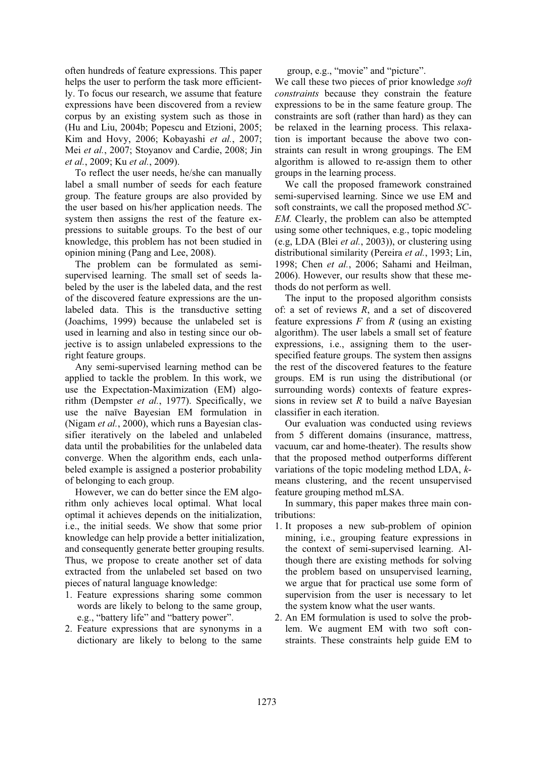often hundreds of feature expressions. This paper helps the user to perform the task more efficiently. To focus our research, we assume that feature expressions have been discovered from a review corpus by an existing system such as those in (Hu and Liu, 2004b; Popescu and Etzioni, 2005; Kim and Hovy, 2006; Kobayashi *et al.*, 2007; Mei *et al.*, 2007; Stoyanov and Cardie, 2008; Jin *et al.*, 2009; Ku *et al.*, 2009).

To reflect the user needs, he/she can manually label a small number of seeds for each feature group. The feature groups are also provided by the user based on his/her application needs. The system then assigns the rest of the feature expressions to suitable groups. To the best of our knowledge, this problem has not been studied in opinion mining (Pang and Lee, 2008).

The problem can be formulated as semisupervised learning. The small set of seeds labeled by the user is the labeled data, and the rest of the discovered feature expressions are the unlabeled data. This is the transductive setting (Joachims, 1999) because the unlabeled set is used in learning and also in testing since our objective is to assign unlabeled expressions to the right feature groups.

Any semi-supervised learning method can be applied to tackle the problem. In this work, we use the Expectation-Maximization (EM) algorithm (Dempster *et al.*, 1977). Specifically, we use the naïve Bayesian EM formulation in (Nigam *et al.*, 2000), which runs a Bayesian classifier iteratively on the labeled and unlabeled data until the probabilities for the unlabeled data converge. When the algorithm ends, each unlabeled example is assigned a posterior probability of belonging to each group.

However, we can do better since the EM algorithm only achieves local optimal. What local optimal it achieves depends on the initialization, i.e., the initial seeds. We show that some prior knowledge can help provide a better initialization, and consequently generate better grouping results. Thus, we propose to create another set of data extracted from the unlabeled set based on two pieces of natural language knowledge:

- 1. Feature expressions sharing some common words are likely to belong to the same group, e.g., "battery life" and "battery power".
- 2. Feature expressions that are synonyms in a dictionary are likely to belong to the same

group, e.g., "movie" and "picture".

We call these two pieces of prior knowledge *soft constraints* because they constrain the feature expressions to be in the same feature group. The constraints are soft (rather than hard) as they can be relaxed in the learning process. This relaxation is important because the above two constraints can result in wrong groupings. The EM algorithm is allowed to re-assign them to other groups in the learning process.

We call the proposed framework constrained semi-supervised learning. Since we use EM and soft constraints, we call the proposed method *SC-EM*. Clearly, the problem can also be attempted using some other techniques, e.g., topic modeling (e.g, LDA (Blei *et al.*, 2003)), or clustering using distributional similarity (Pereira *et al.*, 1993; Lin, 1998; Chen *et al.*, 2006; Sahami and Heilman, 2006). However, our results show that these methods do not perform as well.

The input to the proposed algorithm consists of: a set of reviews *R*, and a set of discovered feature expressions *F* from *R* (using an existing algorithm). The user labels a small set of feature expressions, i.e., assigning them to the userspecified feature groups. The system then assigns the rest of the discovered features to the feature groups. EM is run using the distributional (or surrounding words) contexts of feature expressions in review set *R* to build a naïve Bayesian classifier in each iteration.

Our evaluation was conducted using reviews from 5 different domains (insurance, mattress, vacuum, car and home-theater). The results show that the proposed method outperforms different variations of the topic modeling method LDA, *k*means clustering, and the recent unsupervised feature grouping method mLSA.

In summary, this paper makes three main contributions:

- 1. It proposes a new sub-problem of opinion mining, i.e., grouping feature expressions in the context of semi-supervised learning. Although there are existing methods for solving the problem based on unsupervised learning, we argue that for practical use some form of supervision from the user is necessary to let the system know what the user wants.
- 2. An EM formulation is used to solve the problem. We augment EM with two soft constraints. These constraints help guide EM to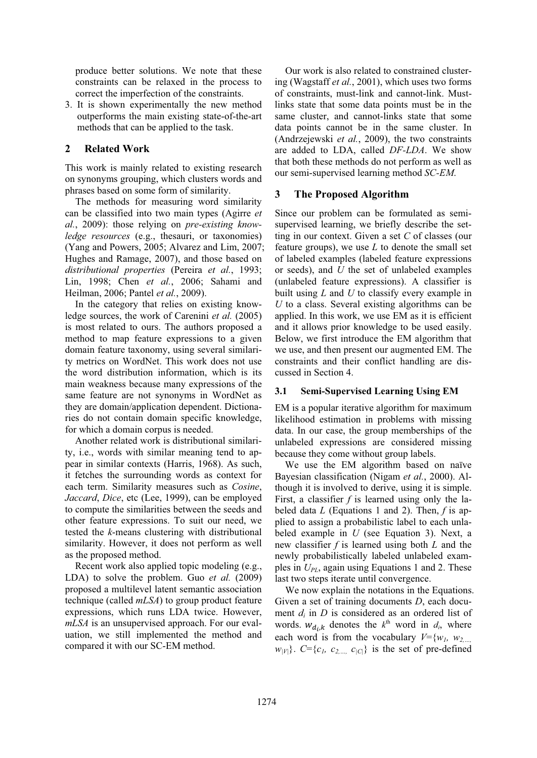produce better solutions. We note that these constraints can be relaxed in the process to correct the imperfection of the constraints.

3. It is shown experimentally the new method outperforms the main existing state-of-the-art methods that can be applied to the task.

# **2 Related Work**

This work is mainly related to existing research on synonyms grouping, which clusters words and phrases based on some form of similarity.

The methods for measuring word similarity can be classified into two main types (Agirre *et al.*, 2009): those relying on *pre-existing knowledge resources* (e.g., thesauri, or taxonomies) (Yang and Powers, 2005; Alvarez and Lim, 2007; Hughes and Ramage, 2007), and those based on *distributional properties* (Pereira *et al.*, 1993; Lin, 1998; Chen *et al.*, 2006; Sahami and Heilman, 2006; Pantel *et al.*, 2009).

In the category that relies on existing knowledge sources, the work of Carenini *et al.* (2005) is most related to ours. The authors proposed a method to map feature expressions to a given domain feature taxonomy, using several similarity metrics on WordNet. This work does not use the word distribution information, which is its main weakness because many expressions of the same feature are not synonyms in WordNet as they are domain/application dependent. Dictionaries do not contain domain specific knowledge, for which a domain corpus is needed.

Another related work is distributional similarity, i.e., words with similar meaning tend to appear in similar contexts (Harris, 1968). As such, it fetches the surrounding words as context for each term. Similarity measures such as *Cosine*, *Jaccard*, *Dice*, etc (Lee, 1999), can be employed to compute the similarities between the seeds and other feature expressions. To suit our need, we tested the *k*-means clustering with distributional similarity. However, it does not perform as well as the proposed method.

Recent work also applied topic modeling (e.g., LDA) to solve the problem. Guo *et al.* (2009) proposed a multilevel latent semantic association technique (called *mLSA*) to group product feature expressions, which runs LDA twice. However, *mLSA* is an unsupervised approach. For our evaluation, we still implemented the method and compared it with our SC-EM method.

Our work is also related to constrained clustering (Wagstaff *et al.*, 2001), which uses two forms of constraints, must-link and cannot-link. Mustlinks state that some data points must be in the same cluster, and cannot-links state that some data points cannot be in the same cluster. In (Andrzejewski *et al.*, 2009), the two constraints are added to LDA, called *DF-LDA*. We show that both these methods do not perform as well as our semi-supervised learning method *SC-EM*.

# **3 The Proposed Algorithm**

Since our problem can be formulated as semisupervised learning, we briefly describe the setting in our context. Given a set *C* of classes (our feature groups), we use *L* to denote the small set of labeled examples (labeled feature expressions or seeds), and *U* the set of unlabeled examples (unlabeled feature expressions). A classifier is built using *L* and *U* to classify every example in *U* to a class. Several existing algorithms can be applied. In this work, we use EM as it is efficient and it allows prior knowledge to be used easily. Below, we first introduce the EM algorithm that we use, and then present our augmented EM. The constraints and their conflict handling are discussed in Section 4.

### **3.1 Semi-Supervised Learning Using EM**

EM is a popular iterative algorithm for maximum likelihood estimation in problems with missing data. In our case, the group memberships of the unlabeled expressions are considered missing because they come without group labels.

We use the EM algorithm based on naïve Bayesian classification (Nigam *et al.*, 2000). Although it is involved to derive, using it is simple. First, a classifier *f* is learned using only the labeled data *L* (Equations 1 and 2). Then, *f* is applied to assign a probabilistic label to each unlabeled example in *U* (see Equation 3). Next, a new classifier *f* is learned using both *L* and the newly probabilistically labeled unlabeled examples in *UPL*, again using Equations 1 and 2. These last two steps iterate until convergence.

We now explain the notations in the Equations. Given a set of training documents *D*, each document *di* in *D* is considered as an ordered list of words.  $w_{d_i,k}$  denotes the  $k^{\text{th}}$  word in  $d_i$ , where each word is from the vocabulary  $V = \{w_1, w_2, \ldots, w_n\}$  $w_{|V|}$ .  $C = \{c_1, c_2, \ldots, c_{|C|}\}$  is the set of pre-defined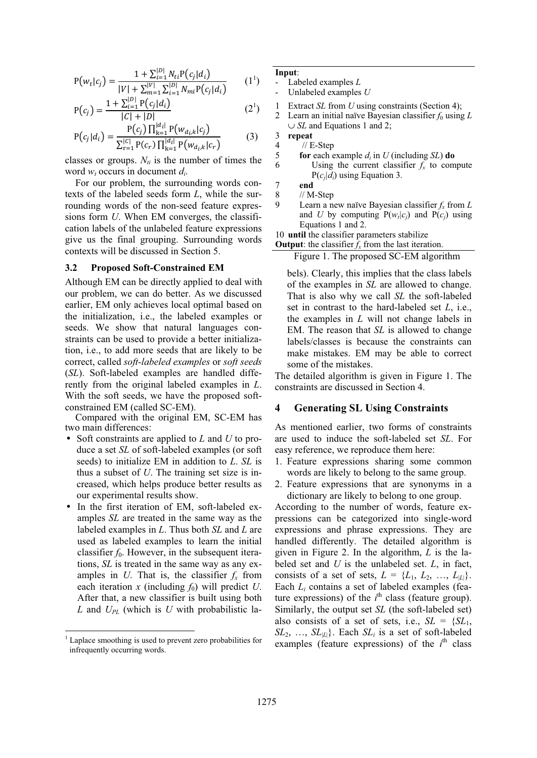$$
P(w_t|c_j) = \frac{1 + \sum_{i=1}^{|D|} N_{ti} P(c_j|d_i)}{|V| + \sum_{m=1}^{|V|} \sum_{i=1}^{|D|} N_{mi} P(c_j|d_i)} \qquad (1^1)
$$

$$
P(c_j) = \frac{1 + \sum_{i=1}^{|D|} P(c_j|d_i)}{|C| + |D|} \tag{2'}
$$

$$
P(c_j|d_i) = \frac{P(c_j) \prod_{k=1}^{|d_i|} P(w_{d_i,k}|c_j)}{\sum_{r=1}^{|C|} P(c_r) \prod_{k=1}^{|d_i|} P(w_{d_i,k}|c_r)}
$$
(3)

classes or groups.  $N_{ti}$  is the number of times the word  $w_t$  occurs in document  $d_i$ .

For our problem, the surrounding words contexts of the labeled seeds form *L*, while the surrounding words of the non-seed feature expressions form *U*. When EM converges, the classification labels of the unlabeled feature expressions give us the final grouping. Surrounding words contexts will be discussed in Section 5.

#### **3.2 Proposed Soft-Constrained EM**

Although EM can be directly applied to deal with our problem, we can do better. As we discussed earlier, EM only achieves local optimal based on the initialization, i.e., the labeled examples or seeds. We show that natural languages constraints can be used to provide a better initialization, i.e., to add more seeds that are likely to be correct, called *soft-labeled examples* or *soft seeds*  (*SL*). Soft-labeled examples are handled differently from the original labeled examples in *L*. With the soft seeds, we have the proposed softconstrained EM (called SC-EM).

Compared with the original EM, SC-EM has two main differences:

- Soft constraints are applied to *L* and *U* to produce a set *SL* of soft-labeled examples (or soft seeds) to initialize EM in addition to *L*. *SL* is thus a subset of *U*. The training set size is increased, which helps produce better results as our experimental results show.
- In the first iteration of EM, soft-labeled examples *SL* are treated in the same way as the labeled examples in *L*. Thus both *SL* and *L* are used as labeled examples to learn the initial classifier  $f_0$ . However, in the subsequent iterations, *SL* is treated in the same way as any examples in *U*. That is, the classifier  $f_x$  from each iteration  $x$  (including  $f_0$ ) will predict  $U$ . After that, a new classifier is built using both *L* and *UPL* (which is *U* with probabilistic la-

## **Input**:

- Labeled examples *L*

- Unlabeled examples *U*

- 1 Extract *SL* from *U* using constraints (Section 4);
- 2 Learn an initial naïve Bayesian classifier  $f_0$  using  $L$ ∪ *SL* and Equations 1 and 2;

- 4 // E-Step<br>5 **for each**  $\epsilon$
- 5 **for** each example  $d_i$  in *U* (including *SL*) **do**<br>6 **Using the current classifier**  $f_k$  to com Using the current classifier  $f_x$  to compute P(*cj|di*) using Equation 3.

9 Learn a new naïve Bayesian classifier *fx* from *L* and *U* by computing  $P(w<sub>i</sub>|c<sub>i</sub>)$  and  $P(c<sub>i</sub>)$  using Equations 1 and 2.

10 **until** the classifier parameters stabilize

**Output**: the classifier  $f_x$  from the last iteration.

Figure 1. The proposed SC-EM algorithm

bels). Clearly, this implies that the class labels of the examples in *SL* are allowed to change. That is also why we call *SL* the soft-labeled set in contrast to the hard-labeled set *L*, i.e., the examples in *L* will not change labels in EM. The reason that *SL* is allowed to change labels/classes is because the constraints can make mistakes. EM may be able to correct some of the mistakes.

The detailed algorithm is given in Figure 1. The constraints are discussed in Section 4.

## **4 Generating SL Using Constraints**

As mentioned earlier, two forms of constraints are used to induce the soft-labeled set *SL*. For easy reference, we reproduce them here:

- 1. Feature expressions sharing some common words are likely to belong to the same group.
- 2. Feature expressions that are synonyms in a dictionary are likely to belong to one group.

According to the number of words, feature expressions can be categorized into single-word expressions and phrase expressions. They are handled differently. The detailed algorithm is given in Figure 2. In the algorithm, *L* is the labeled set and *U* is the unlabeled set. *L*, in fact, consists of a set of sets,  $L = \{L_1, L_2, ..., L_{|L|}\}.$ Each *Li* contains a set of labeled examples (feature expressions) of the  $i<sup>th</sup>$  class (feature group). Similarly, the output set *SL* (the soft-labeled set) also consists of a set of sets, i.e.,  $SL = \{SL_1,$  $SL_2$ , ...,  $SL_{|L|}$ . Each  $SL_i$  is a set of soft-labeled examples (feature expressions) of the  $i<sup>th</sup>$  class

<sup>1</sup> Laplace smoothing is used to prevent zero probabilities for infrequently occurring words.

<sup>3</sup> **repeat**

 $\begin{array}{cc} 7 & \text{end} \\ 8 & // \end{array}$ 

 $//$  M-Step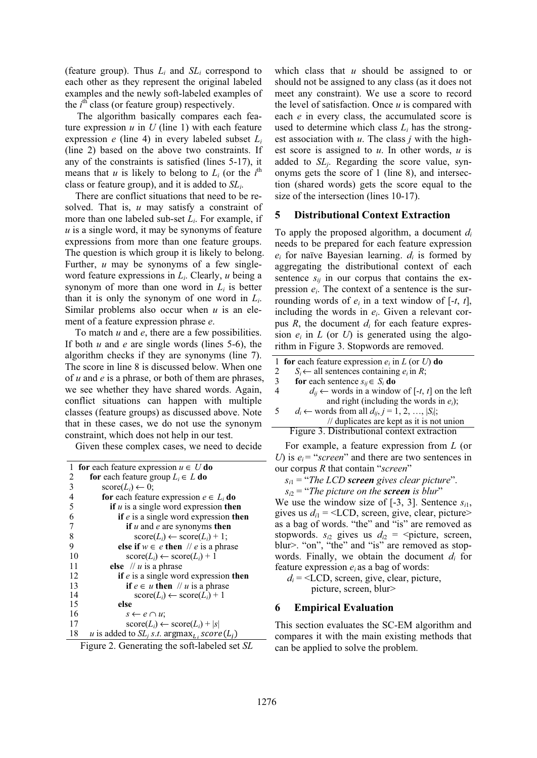(feature group). Thus  $L_i$  and  $SL_i$  correspond to each other as they represent the original labeled examples and the newly soft-labeled examples of the *i*<sup>th</sup> class (or feature group) respectively.

The algorithm basically compares each feature expression  $u$  in  $U$  (line 1) with each feature expression *e* (line 4) in every labeled subset *Li* (line 2) based on the above two constraints. If any of the constraints is satisfied (lines 5-17), it means that *u* is likely to belong to  $L_i$  (or the  $i^{\text{th}}$ class or feature group), and it is added to *SLi*.

There are conflict situations that need to be resolved. That is, *u* may satisfy a constraint of more than one labeled sub-set *Li*. For example, if *u* is a single word, it may be synonyms of feature expressions from more than one feature groups. The question is which group it is likely to belong. Further, *u* may be synonyms of a few singleword feature expressions in *Li*. Clearly, *u* being a synonym of more than one word in *Li* is better than it is only the synonym of one word in *Li*. Similar problems also occur when *u* is an element of a feature expression phrase *e*.

To match *u* and *e*, there are a few possibilities. If both *u* and *e* are single words (lines 5-6), the algorithm checks if they are synonyms (line 7). The score in line 8 is discussed below. When one of *u* and *e* is a phrase, or both of them are phrases, we see whether they have shared words. Again, conflict situations can happen with multiple classes (feature groups) as discussed above. Note that in these cases, we do not use the synonym constraint, which does not help in our test.

Given these complex cases, we need to decide

|    | 1 for each feature expression $u \in U$ do                             |
|----|------------------------------------------------------------------------|
| 2  | for each feature group $L_i \in L$ do                                  |
| 3  | $score(L_i) \leftarrow 0$ ;                                            |
| 4  | for each feature expression $e \in L_i$ do                             |
| 5  | if $u$ is a single word expression then                                |
| 6  | if $e$ is a single word expression then                                |
| 7  | if $u$ and $e$ are synonyms then                                       |
| 8  | $score(L_i) \leftarrow score(L_i) + 1;$                                |
| 9  | else if $w \in e$ then // e is a phrase                                |
| 10 | $\text{score}(L_i) \leftarrow \text{score}(L_i) + 1$                   |
| 11 | else // $u$ is a phrase                                                |
| 12 | if $e$ is a single word expression then                                |
| 13 | if $e \in u$ then // u is a phrase                                     |
| 14 | $score(L_i) \leftarrow score(L_i) + 1$                                 |
| 15 | else                                                                   |
| 16 | $s \leftarrow e \cap u$ ;                                              |
| 17 | $\text{score}(L_i) \leftarrow \text{score}(L_i) +  s $                 |
| 18 | u is added to $SL_i$ s.t. argmax <sub>L</sub> , score(L <sub>i</sub> ) |
|    |                                                                        |

|  | Figure 2. Generating the soft-labeled set SL |  |
|--|----------------------------------------------|--|
|  |                                              |  |

which class that *u* should be assigned to or should not be assigned to any class (as it does not meet any constraint). We use a score to record the level of satisfaction. Once *u* is compared with each *e* in every class, the accumulated score is used to determine which class  $L_i$  has the strongest association with *u*. The class *j* with the highest score is assigned to *u*. In other words, *u* is added to *SLj*. Regarding the score value, synonyms gets the score of 1 (line 8), and intersection (shared words) gets the score equal to the size of the intersection (lines 10-17).

### **5 Distributional Context Extraction**

To apply the proposed algorithm, a document *di* needs to be prepared for each feature expression  $e_i$  for naïve Bayesian learning.  $d_i$  is formed by aggregating the distributional context of each sentence  $s_{ij}$  in our corpus that contains the expression  $e_i$ . The context of a sentence is the surrounding words of  $e_i$  in a text window of  $[-t, t]$ , including the words in *ei*. Given a relevant corpus  $R$ , the document  $d_i$  for each feature expression  $e_i$  in  $L$  (or  $U$ ) is generated using the algorithm in Figure 3. Stopwords are removed.

|        | 1 for each feature expression $e_i$ in L (or U) do            |
|--------|---------------------------------------------------------------|
| 2      | $S_i \leftarrow$ all sentences containing $e_i$ in R;         |
| 3      | for each sentence $s_{ij} \in S_i$ do                         |
|        | $d_{ii} \leftarrow$ words in a window of [-t, t] on the left  |
|        | and right (including the words in $e_i$ );                    |
| $\sim$ | $d_i \leftarrow$ words from all $d_{ij}, j = 1, 2, ,  S_i $ ; |
|        | // duplicates are kept as it is not union                     |
|        | Figure 3. Distributional context extraction                   |
|        | $\Gamma$ are avere proportion of $\Gamma$ (or                 |

For example, a feature expression from *L* (or  $U$ ) is  $e_i$  = "*screen*" and there are two sentences in our corpus *R* that contain "*screen*"

*si*1 = "*The LCD screen gives clear picture*".

 $s_{i2}$  = "*The picture on the screen is blur*"

We use the window size of  $[-3, 3]$ . Sentence  $s_{i1}$ , gives us  $d_{i1}$  = <LCD, screen, give, clear, picture> as a bag of words. "the" and "is" are removed as stopwords.  $s_{i2}$  gives us  $d_{i2}$  = <picture, screen, blur>. "on", "the" and "is" are removed as stopwords. Finally, we obtain the document *di* for feature expression *ei* as a bag of words:

 $d_i$  = <LCD, screen, give, clear, picture, picture, screen, blur>

# **6 Empirical Evaluation**

This section evaluates the SC-EM algorithm and compares it with the main existing methods that can be applied to solve the problem.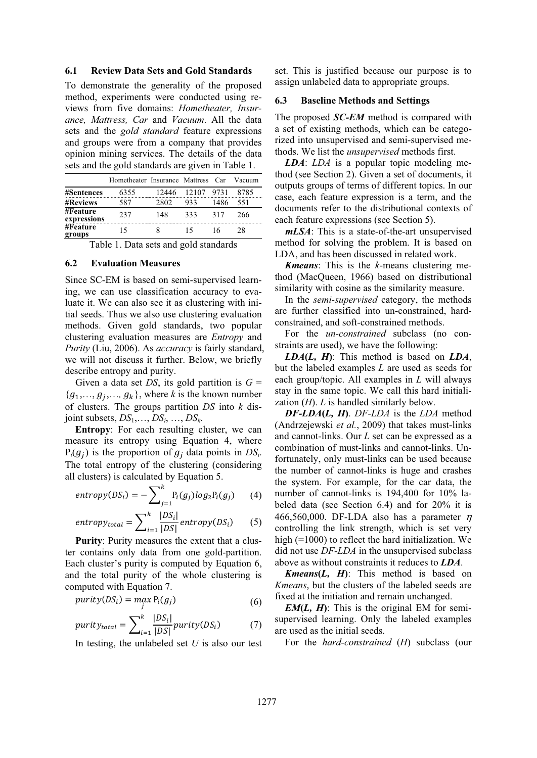#### **6.1 Review Data Sets and Gold Standards**

To demonstrate the generality of the proposed method, experiments were conducted using reviews from five domains: *Hometheater, Insurance, Mattress, Car* and *Vacuum*. All the data sets and the *gold standard* feature expressions and groups were from a company that provides opinion mining services. The details of the data sets and the gold standards are given in Table 1.

|                         | Hometheater Insurance Mattress |       |       | Car <sup>-</sup> | Vacuum |
|-------------------------|--------------------------------|-------|-------|------------------|--------|
| #Sentences              | 6355                           | 12446 | 12107 | 9731             | 8785   |
| <b>#Reviews</b>         | 587                            | 2802  | 933   | 1486             | 551    |
| #Feature<br>expressions | 237                            | 148   | 333   | 317              | 266    |
| #Feature<br>groups      | 15                             |       |       | 16               | 28     |

Table 1. Data sets and gold standards

#### **6.2 Evaluation Measures**

Since SC-EM is based on semi-supervised learning, we can use classification accuracy to evaluate it. We can also see it as clustering with initial seeds. Thus we also use clustering evaluation methods. Given gold standards, two popular clustering evaluation measures are *Entropy* and *Purity* (Liu, 2006). As *accuracy* is fairly standard, we will not discuss it further. Below, we briefly describe entropy and purity.

Given a data set *DS*, its gold partition is  $G =$  ${g_1,..., g_i,..., g_k}$ , where *k* is the known number of clusters. The groups partition *DS* into *k* disjoint subsets, *DS*1,…, *DSi*, …, *DSk*.

**Entropy**: For each resulting cluster, we can measure its entropy using Equation 4, where  $P_i(g_i)$  is the proportion of  $g_i$  data points in  $DS_i$ . The total entropy of the clustering (considering all clusters) is calculated by Equation 5.

$$
entropy(DS_i) = -\sum_{j=1}^{k} P_i(g_j)log_2 P_i(g_j) \qquad (4)
$$

$$
entropy_{total} = \sum_{i=1}^{k} \frac{|DS_i|}{|DS|} entropy(DS_i)
$$
 (5)

**Purity**: Purity measures the extent that a cluster contains only data from one gold-partition. Each cluster's purity is computed by Equation 6, and the total purity of the whole clustering is computed with Equation 7.

$$
purity(DS_i) = \max_j P_i(g_j)
$$
\n(6)

$$
purity_{total} = \sum_{i=1}^{k} \frac{|DS_i|}{|DS|} purity(DS_i)
$$
 (7)

In testing, the unlabeled set *U* is also our test

set. This is justified because our purpose is to assign unlabeled data to appropriate groups.

#### **6.3 Baseline Methods and Settings**

The proposed *SC-EM* method is compared with a set of existing methods, which can be categorized into unsupervised and semi-supervised methods. We list the *unsupervised* methods first.

*LDA*: *LDA* is a popular topic modeling method (see Section 2). Given a set of documents, it outputs groups of terms of different topics. In our case, each feature expression is a term, and the documents refer to the distributional contexts of each feature expressions (see Section 5).

*mLSA*: This is a state-of-the-art unsupervised method for solving the problem. It is based on LDA, and has been discussed in related work.

*Kmeans*: This is the *k*-means clustering method (MacQueen, 1966) based on distributional similarity with cosine as the similarity measure.

In the *semi-supervised* category, the methods are further classified into un-constrained, hardconstrained, and soft-constrained methods.

For the *un-constrained* subclass (no constraints are used), we have the following:

*LDA***(***L, H***)**: This method is based on *LDA*, but the labeled examples *L* are used as seeds for each group/topic. All examples in *L* will always stay in the same topic. We call this hard initialization (*H*). *L* is handled similarly below.

*DF-LDA***(***L, H***)**. *DF-LDA* is the *LDA* method (Andrzejewski *et al.*, 2009) that takes must-links and cannot-links. Our *L* set can be expressed as a combination of must-links and cannot-links. Unfortunately, only must-links can be used because the number of cannot-links is huge and crashes the system. For example, for the car data, the number of cannot-links is 194,400 for 10% labeled data (see Section 6.4) and for 20% it is 466,560,000. DF-LDA also has a parameter  $\eta$ controlling the link strength, which is set very high (=1000) to reflect the hard initialization. We did not use *DF-LDA* in the unsupervised subclass above as without constraints it reduces to *LDA*.

*Kmeans***(***L, H***)**: This method is based on *Kmeans*, but the clusters of the labeled seeds are fixed at the initiation and remain unchanged.

*EM*( $L$ ,  $H$ ): This is the original EM for semisupervised learning. Only the labeled examples are used as the initial seeds.

For the *hard-constrained* (*H*) subclass (our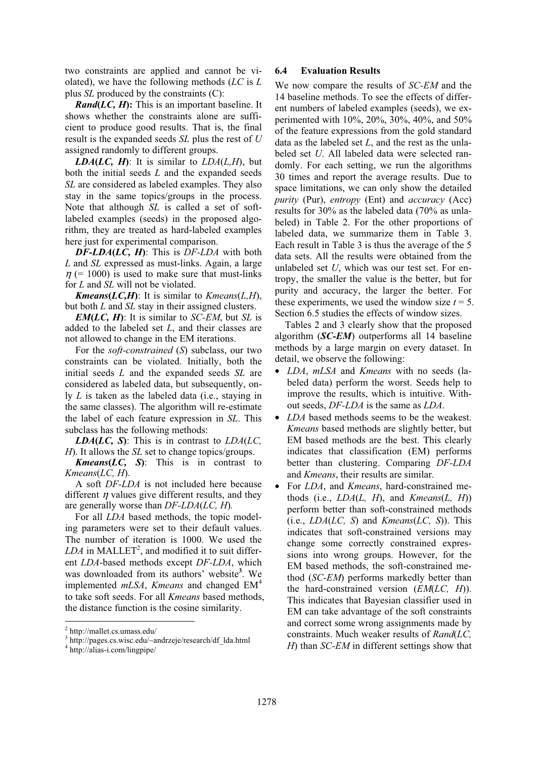two constraints are applied and cannot be violated), we have the following methods (*LC* is *L* plus *SL* produced by the constraints (C):

*Rand***(***LC, H***):** This is an important baseline. It shows whether the constraints alone are sufficient to produce good results. That is, the final result is the expanded seeds *SL* plus the rest of *U* assigned randomly to different groups.

*LDA*( $LC$ ,  $H$ ): It is similar to  $LDA(L,H)$ , but both the initial seeds *L* and the expanded seeds *SL* are considered as labeled examples. They also stay in the same topics/groups in the process. Note that although *SL* is called a set of softlabeled examples (seeds) in the proposed algorithm, they are treated as hard-labeled examples here just for experimental comparison.

*DF-LDA***(***LC, H***)**: This is *DF-LDA* with both *L* and *SL* expressed as must-links. Again, a large  $\eta$  (= 1000) is used to make sure that must-links for *L* and *SL* will not be violated.

*Kmeans*(*LC,H*): It is similar to *Kmeans*(*L,H*), but both *L* and *SL* stay in their assigned clusters.

*EM***(***LC, H***)**: It is similar to *SC-EM*, but *SL* is added to the labeled set *L*, and their classes are not allowed to change in the EM iterations.

For the *soft-constrained* (*S*) subclass, our two constraints can be violated. Initially, both the initial seeds *L* and the expanded seeds *SL* are considered as labeled data, but subsequently, only *L* is taken as the labeled data (i.e., staying in the same classes). The algorithm will re-estimate the label of each feature expression in *SL*. This subclass has the following methods:

*LDA*( $LC$ ,  $S$ ): This is in contrast to  $LDA(LC)$ , *H*). It allows the *SL* set to change topics/groups.

*Kmeans***(***LC, S***)**: This is in contrast to *Kmeans*(*LC, H*).

A soft *DF-LDA* is not included here because different  $\eta$  values give different results, and they are generally worse than *DF-LDA*(*LC, H*)*.*

For all *LDA* based methods, the topic modeling parameters were set to their default values. The number of iteration is 1000. We used the  $LDA$  in MALLET<sup>2</sup>, and modified it to suit different *LDA*-based methods except *DF-LDA*, which was downloaded from its authors' website**<sup>3</sup>** . We implemented *mLSA*, *Kmeans* and changed EM<sup>4</sup> to take soft seeds. For all *Kmeans* based methods, the distance function is the cosine similarity.

#### **6.4 Evaluation Results**

We now compare the results of *SC-EM* and the 14 baseline methods. To see the effects of different numbers of labeled examples (seeds), we experimented with 10%, 20%, 30%, 40%, and 50% of the feature expressions from the gold standard data as the labeled set *L*, and the rest as the unlabeled set *U*. All labeled data were selected randomly. For each setting, we run the algorithms 30 times and report the average results. Due to space limitations, we can only show the detailed *purity* (Pur), *entropy* (Ent) and *accuracy* (Acc) results for 30% as the labeled data (70% as unlabeled) in Table 2. For the other proportions of labeled data, we summarize them in Table 3. Each result in Table 3 is thus the average of the 5 data sets. All the results were obtained from the unlabeled set *U*, which was our test set. For entropy, the smaller the value is the better, but for purity and accuracy, the larger the better. For these experiments, we used the window size  $t = 5$ . Section 6.5 studies the effects of window sizes.

Tables 2 and 3 clearly show that the proposed algorithm (*SC-EM*) outperforms all 14 baseline methods by a large margin on every dataset. In detail, we observe the following:

- *LDA*, *mLSA* and *Kmeans* with no seeds (labeled data) perform the worst. Seeds help to improve the results, which is intuitive. Without seeds, *DF-LDA* is the same as *LDA*.
- *LDA* based methods seems to be the weakest. *Kmeans* based methods are slightly better, but EM based methods are the best. This clearly indicates that classification (EM) performs better than clustering. Comparing *DF-LDA* and *Kmeans*, their results are similar.
- For *LDA*, and *Kmeans*, hard-constrained methods (i.e.,  $LDA(L, H)$ , and  $Kmeans(L, H)$ ) perform better than soft-constrained methods (i.e., *LDA*(*LC, S*) and *Kmeans*(*LC, S*)). This indicates that soft-constrained versions may change some correctly constrained expressions into wrong groups. However, for the EM based methods, the soft-constrained method (*SC-EM*) performs markedly better than the hard-constrained version (*EM*(*LC, H*)). This indicates that Bayesian classifier used in EM can take advantage of the soft constraints and correct some wrong assignments made by constraints. Much weaker results of *Rand*(*LC, H*) than *SC-EM* in different settings show that

<sup>2</sup> http://mallet.cs.umass.edu/

<sup>3</sup> http://pages.cs.wisc.edu/~andrzeje/research/df\_lda.html

<sup>4</sup> http://alias-i.com/lingpipe/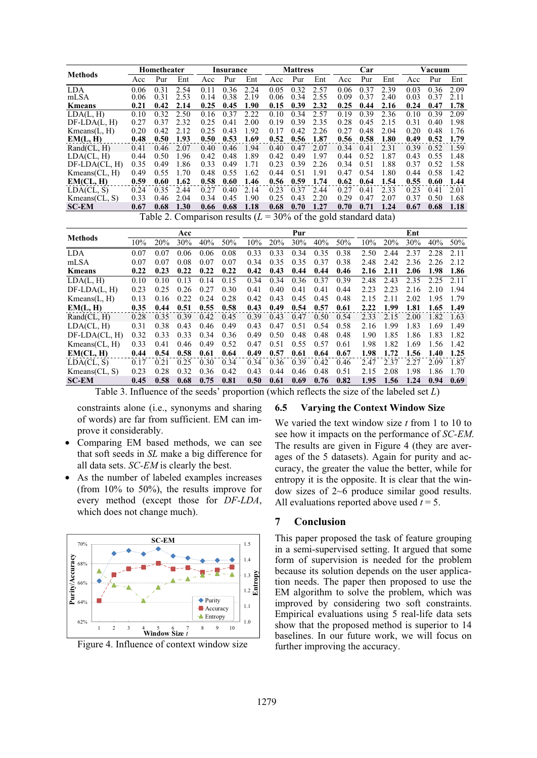|                 | Hometheater |               |      | Insurance |      |      | <b>Mattress</b> |      |                                                                                                                                                                                                                                                 | Car  |      |      | Vacuum |      |      |
|-----------------|-------------|---------------|------|-----------|------|------|-----------------|------|-------------------------------------------------------------------------------------------------------------------------------------------------------------------------------------------------------------------------------------------------|------|------|------|--------|------|------|
| <b>Methods</b>  | Acc         | Pur           | Ent  | Acc       | Pur  | Ent  | Acc             | Pur  | Ent                                                                                                                                                                                                                                             | Acc  | Pur  | Ent  | Acc    | Pur  | Ent  |
| LDA.            | 0.06        | 0.31          | 2.54 | 0.11      | 0.36 | 2.24 | 0.05            | 0.32 | 2.57                                                                                                                                                                                                                                            | 0.06 | 0.37 | 2.39 | 0.03   | 0.36 | 2.09 |
| mLSA            | 0.06        | 0.31          | 2.53 | 0.14      | 0.38 | 2.19 | 0.06            | 0.34 | 2.55                                                                                                                                                                                                                                            | 0.09 | 0.37 | 2.40 | 0.03   | 0.37 | 2.11 |
| <b>K</b> means  | 0.21        | 0.42          | 2.14 | 0.25      | 0.45 | 1.90 | 0.15            | 0.39 | 2.32                                                                                                                                                                                                                                            | 0.25 | 0.44 | 2.16 | 0.24   | 0.47 | 1.78 |
| LDA(L, H)       | 0.10        | 0.32          | 2.50 | 0.16      | 0.37 | 2.22 | 0.10            | 0.34 | 2.57                                                                                                                                                                                                                                            | 0.19 | 0.39 | 2.36 | 0.10   | 0.39 | 2.09 |
| $DF-LDA(L, H)$  | 0.27        | 0.37          | 2.32 | 0.25      | 0.41 | 2.00 | 0.19            | 0.39 | 2.35                                                                                                                                                                                                                                            | 0.28 | 0.45 | 2.15 | 0.31   | 0.40 | 1.98 |
| Kmeans(L, H)    | 0.20        | 0.42          | 2.12 | 0.25      | 0.43 | 1.92 | 0.17            | 0.42 | 2.26                                                                                                                                                                                                                                            | 0.27 | 0.48 | 2.04 | 0.20   | 0.48 | 1.76 |
| EM(L, H)        | 0.48        | 0.50          | 1.93 | 0.50      | 0.53 | 1.69 | 0.52            | 0.56 | 1.87                                                                                                                                                                                                                                            | 0.56 | 0.58 | 1.80 | 0.49   | 0.52 | 1.79 |
| Rand(Cl, H)     | 0.41        | 0.46          | 2.07 | 0.40      | 0.46 | 1.94 | 0.40            | 0.47 | 2.07                                                                                                                                                                                                                                            | 0.34 | 0.41 | 2.31 | 0.39   | 0.52 | 1.59 |
| LDA(CL, H)      | 0.44        | 0.50          | 1.96 | 0.42      | 0.48 | 1.89 | 0.42            | 0.49 | 1.97                                                                                                                                                                                                                                            | 0.44 | 0.52 | 1.87 | 0.43   | 0.55 | 1.48 |
| $DF-LDA(CL, H)$ | 0.35        | 0.49          | 1.86 | 0.33      | 0.49 | 1.71 | 0.23            | 0.39 | 2.26                                                                                                                                                                                                                                            | 0.34 | 0.51 | 1.88 | 0.37   | 0.52 | 1.58 |
| Kmeans (CL, H)  | 0.49        | 0.55          | 1.70 | 0.48      | 0.55 | 1.62 | 0.44            | 0.51 | 1.91                                                                                                                                                                                                                                            | 0.47 | 0.54 | 1.80 | 0.44   | 0.58 | 1.42 |
| EM(CL, H)       | 0.59        | 0.60          | 1.62 | 0.58      | 0.60 | 1.46 | 0.56            | 0.59 | 1.74                                                                                                                                                                                                                                            | 0.62 | 0.64 | 1.54 | 0.55   | 0.60 | 1.44 |
| LDA(CL, S)      | 0.24        | 0.35          | 2.44 | 0.27      | 0.40 | 2.14 | 0.23            | 0.37 | 2.44                                                                                                                                                                                                                                            | 0.27 | 0.41 | 2.33 | 0.23   | 0.41 | 2.01 |
| Kmeans (CL, S)  | 0.33        | 0.46          | 2.04 | 0.34      | 0.45 | 1.90 | 0.25            | 0.43 | 2.20                                                                                                                                                                                                                                            | 0.29 | 0.47 | 2.07 | 0.37   | 0.50 | 1.68 |
| <b>SC-EM</b>    | 0.67        | 0.68          | 1.30 | 0.66      | 0.68 | 1.18 | 0.68            | 0.70 | 1.27                                                                                                                                                                                                                                            | 0.70 | 0.71 | 1.24 | 0.67   | 0.68 | 1.18 |
|                 |             | $T - 1.1 - 2$ |      |           |      |      |                 |      | $C_{1}$ and $C_{2}$ and $C_{3}$ and $C_{4}$ and $C_{5}$ and $C_{6}$ and $C_{7}$ and $C_{8}$ and $C_{1}$ and $C_{1}$ and $C_{1}$ and $C_{1}$ and $C_{1}$ and $C_{1}$ and $C_{1}$ and $C_{1}$ and $C_{1}$ and $C_{1}$ and $C_{1}$ and $C_{1}$ and |      |      |      |        |      |      |

Table 2. Comparison results (*L* = 30% of the gold standard data)

|                 | Acc  |      |      |      |      | Pur    |      |      |      | Ent    |        |      |      |      |        |
|-----------------|------|------|------|------|------|--------|------|------|------|--------|--------|------|------|------|--------|
| <b>Methods</b>  | 10%  | 20%  | 30%  | 40%  | 50%  | $10\%$ | 20%  | 30%  | 40%  | $50\%$ | $10\%$ | 20%  | 30%  | 40%  | $50\%$ |
| <b>LDA</b>      | 0.07 | 0.07 | 0.06 | 0.06 | 0.08 | 0.33   | 0.33 | 0.34 | 0.35 | 0.38   | 2.50   | 2.44 | 2.37 | 2.28 | 2.11   |
| mLSA            | 0.07 | 0.07 | 0.08 | 0.07 | 0.07 | 0.34   | 0.35 | 0.35 | 0.37 | 0.38   | 2.48   | 2.42 | 2.36 | 2.26 | 2.12   |
| Kmeans          | 0.22 | 0.23 | 0.22 | 0.22 | 0.22 | 0.42   | 0.43 | 0.44 | 0.44 | 0.46   | 2.16   | 2.11 | 2.06 | 1.98 | 1.86   |
| LDA(L, H)       | 0.10 | 0.10 | 0.13 | 0.14 | 0.15 | 0.34   | 0.34 | 0.36 | 0.37 | 0.39   | 2.48   | 2.43 | 2.35 | 2.25 | 2.11   |
| $DF-LDA(L, H)$  | 0.23 | 0.25 | 0.26 | 0.27 | 0.30 | 0.41   | 0.40 | 0.41 | 0.41 | 0.44   | 2.23   | 2.23 | 2.16 | 2.10 | 1.94   |
| Kmeans(L, H)    | 0.13 | 0.16 | 0.22 | 0.24 | 0.28 | 0.42   | 0.43 | 0.45 | 0.45 | 0.48   | 2.15   | 2.11 | 2.02 | 1.95 | 1.79   |
| EM(L, H)        | 0.35 | 0.44 | 0.51 | 0.55 | 0.58 | 0.43   | 0.49 | 0.54 | 0.57 | 0.61   | 2.22   | 1.99 | 1.81 | 1.65 | -1.49  |
| Rand(CL, H)     | 0.28 | 0.35 | 0.39 | 0.42 | 0.45 | 0.39   | 0.43 | 0.47 | 0.50 | 0.54   | 2.33   | 2.15 | 2.00 | 1.82 | -1.63  |
| LDA(CL, H)      | 0.31 | 0.38 | 0.43 | 0.46 | 0.49 | 0.43   | 0.47 | 0.51 | 0.54 | 0.58   | 2.16   | 1.99 | 1.83 | 1.69 | 1.49   |
| $DF-LDA(CL, H)$ | 0.32 | 0.33 | 0.33 | 0.34 | 0.36 | 0.49   | 0.50 | 0.48 | 0.48 | 0.48   | 1.90   | 1.85 | 1.86 | 1.83 | 1.82   |
| Kmeans (CL, H)  | 0.33 | 0.41 | 0.46 | 0.49 | 0.52 | 0.47   | 0.51 | 0.55 | 0.57 | 0.61   | 1.98   | 1.82 | 1.69 | 1.56 | 1.42   |
| EM(CL, H)       | 0.44 | 0.54 | 0.58 | 0.61 | 0.64 | 0.49   | 0.57 | 0.61 | 0.64 | 0.67   | 1.98   | 1.72 | 1.56 | 1.40 | 1.25   |
| LDA(CL, S)      | 0.17 | 0.21 | 0.25 | 0.30 | 0.34 | 0.34   | 0.36 | 0.39 | 0.42 | 0.46   | 2.47   | 2.37 | 2.27 | 2.09 | 1.87   |
| Kmeans (CL, S)  | 0.23 | 0.28 | 0.32 | 0.36 | 0.42 | 0.43   | 0.44 | 0.46 | 0.48 | 0.51   | 2.15   | 2.08 | 1.98 | 1.86 | 1.70   |
| <b>SC-EM</b>    | 0.45 | 0.58 | 0.68 | 0.75 | 0.81 | 0.50   | 0.61 | 0.69 | 0.76 | 0.82   | 1.95   | 1.56 | 1.24 | 0.94 | 0.69   |

Table 3. Influence of the seeds' proportion (which reflects the size of the labeled set *L*)

constraints alone (i.e., synonyms and sharing of words) are far from sufficient. EM can improve it considerably.

- Comparing EM based methods, we can see that soft seeds in *SL* make a big difference for all data sets. *SC-EM* is clearly the best.
- As the number of labeled examples increases (from 10% to 50%), the results improve for every method (except those for *DF-LDA*, which does not change much).



Figure 4. Influence of context window size

#### **6.5 Varying the Context Window Size**

We varied the text window size *t* from 1 to 10 to see how it impacts on the performance of *SC-EM*. The results are given in Figure 4 (they are averages of the 5 datasets). Again for purity and accuracy, the greater the value the better, while for entropy it is the opposite. It is clear that the window sizes of 2~6 produce similar good results. All evaluations reported above used *t* = 5.

## **7 Conclusion**

This paper proposed the task of feature grouping in a semi-supervised setting. It argued that some form of supervision is needed for the problem because its solution depends on the user application needs. The paper then proposed to use the EM algorithm to solve the problem, which was improved by considering two soft constraints. Empirical evaluations using 5 real-life data sets show that the proposed method is superior to 14 baselines. In our future work, we will focus on further improving the accuracy.